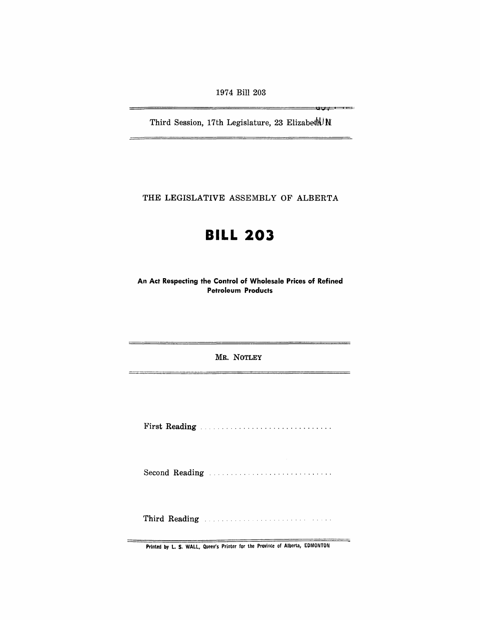1974 Bill 203

Third Session, 17th Legislature, 23 Elizabeth N

——u<del>v. . . . . .</del> .

THE LEGISLATIVE ASSEMBLY OF ALBERTA

# **BILL 203**

An Act Respecting the Control of Wholesale Prices of Refined Petroleum Products

MR. NOTLEY

First Reading .............................. .

Second Reading ..............................

Third Reading .,

Printed by L. S. WALL, Queen's Printer for the Province of Alberta, EDMONTON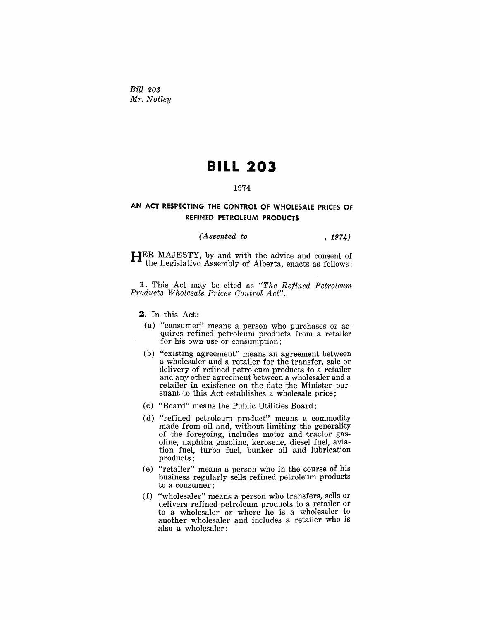*Bill 203 Mr. Notley* 

# **BILL 203**

#### 1974

## AN ACT RESPECTING THE CONTROL OF WHOLESALE PRICES OF REFINED PETROLEUM PRODUCTS

## *(Assented to* , 1974)

HER MAJESTY, by and with the advice and consent of the Legislative Assembly of Alberta, enacts as follows:

1. This Act may be cited as *"The Refined Petroleum Products Wholesale Prices Control Act".* 

2. In this Act:

- (a) "consumer" means a person who purchases or acquires refined petroleum products from a retailer for his own use or consumption;
- (b) "existing agreement" means an agreement between a wholesaler and a retailer for the transfer, sale or delivery of refined petroleum products to a retailer and any other agreement between a wholesaler and a retailer in existence on the date the Minister pursuant to this Act establishes a wholesale price;
- (c) "Board" means the Public Utilities Board;
- (d) "refined petroleum product" means a commodity made from oil and, without limiting the generality of the foregoing, includes motor and tractor gasoline, naphtha gasoline, kerosene, diesel fuel, aviation fuel, turbo fuel, bunker oil and lubrication products:
- (e) "retailer" means a person who in the course of his business regularly sells refined petroleum products to a consumer;
- (f) "wholesaler" means a person who transfers, sells or delivers refined petroleum products to a retailer or to a wholesaler or where he is a wholesaler to another wholesaler and includes a retailer who is also a wholesaler;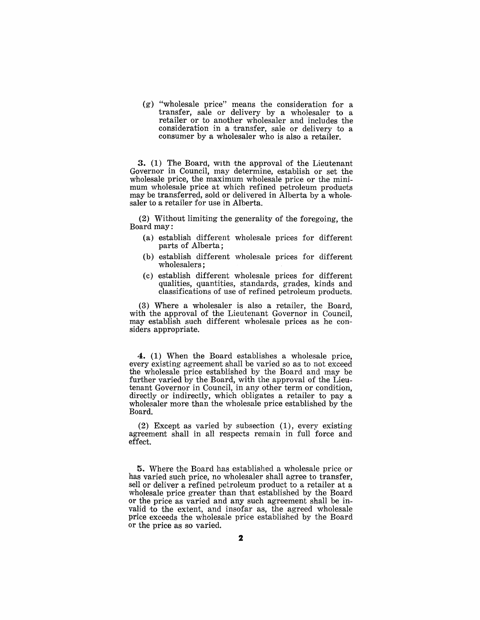(g) "wholesale price" means the consideration for a transfer, sale or delivery by a wholesaler to a retailer or to another wholesaler and includes the consideration in a transfer, sale or delivery to a consumer by a wholesaler who is also a retailer.

3. (1) The Board, with the approval of the Lieutenant Governor in Council, may determine, establish or set the wholesale price, the maximum wholesale price or the minimum wholesale price at which refined petroleum products may be transferred, sold or delivered in Alberta by a wholesaler to a retailer for use in Alberta.

(2) Without limiting the generality of the foregoing, the Board may:

- (a) establish different wholesale prices for different parts of Alberta;
- (b) establish different wholesale prices for different wholesalers;
- (c) establish different wholesale prices for different qualities, quantities, standards, grades, kinds and classifications of use of refined petroleum products.

(3) Where a wholesaler is also a retailer, the Board, with the approval of the Lieutenant Governor in Council, may establish such different wholesale prices as he considers appropriate.

4. (1) When the Board establishes a wholesale price, every existing agreement shall be varied so as to not exceed the wholesale price established by the Board and may be further varied by the Board, with the approval of the Lieutenant Governor in Council, in any other term or condition, directly or indirectly, which obligates a retailer to pay a wholesaler more than the wholesale price established by the Board.

(2) Except as varied by subsection (1), every existing agreement shall in all respects remain in full force and effect.

5. Where the Board has established a wholesale price or has varied such price, no wholesaler shall agree to transfer, sell or deliver a refined petroleum product to a retailer at a wholesale price greater than that established by the Board or the price as varied and any such agreement shall be invalid to the extent, and insofar as, the agreed wholesale price exceeds the wholesale price established by the Board or the price as so varied.